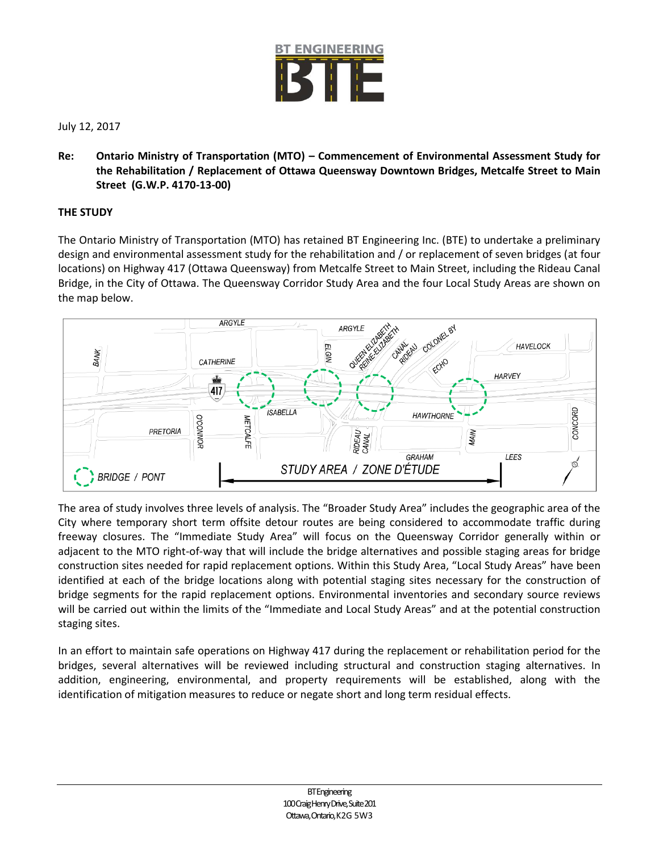

July 12, 2017

**Re: Ontario Ministry of Transportation (MTO) – Commencement of Environmental Assessment Study for the Rehabilitation / Replacement of Ottawa Queensway Downtown Bridges, Metcalfe Street to Main Street (G.W.P. 4170-13-00)**

## **THE STUDY**

The Ontario Ministry of Transportation (MTO) has retained BT Engineering Inc. (BTE) to undertake a preliminary design and environmental assessment study for the rehabilitation and / or replacement of seven bridges (at four locations) on Highway 417 (Ottawa Queensway) from Metcalfe Street to Main Street, including the Rideau Canal Bridge, in the City of Ottawa. The Queensway Corridor Study Area and the four Local Study Areas are shown on the map below.



The area of study involves three levels of analysis. The "Broader Study Area" includes the geographic area of the City where temporary short term offsite detour routes are being considered to accommodate traffic during freeway closures. The "Immediate Study Area" will focus on the Queensway Corridor generally within or adjacent to the MTO right-of-way that will include the bridge alternatives and possible staging areas for bridge construction sites needed for rapid replacement options. Within this Study Area, "Local Study Areas" have been identified at each of the bridge locations along with potential staging sites necessary for the construction of bridge segments for the rapid replacement options. Environmental inventories and secondary source reviews will be carried out within the limits of the "Immediate and Local Study Areas" and at the potential construction staging sites.

In an effort to maintain safe operations on Highway 417 during the replacement or rehabilitation period for the bridges, several alternatives will be reviewed including structural and construction staging alternatives. In addition, engineering, environmental, and property requirements will be established, along with the identification of mitigation measures to reduce or negate short and long term residual effects.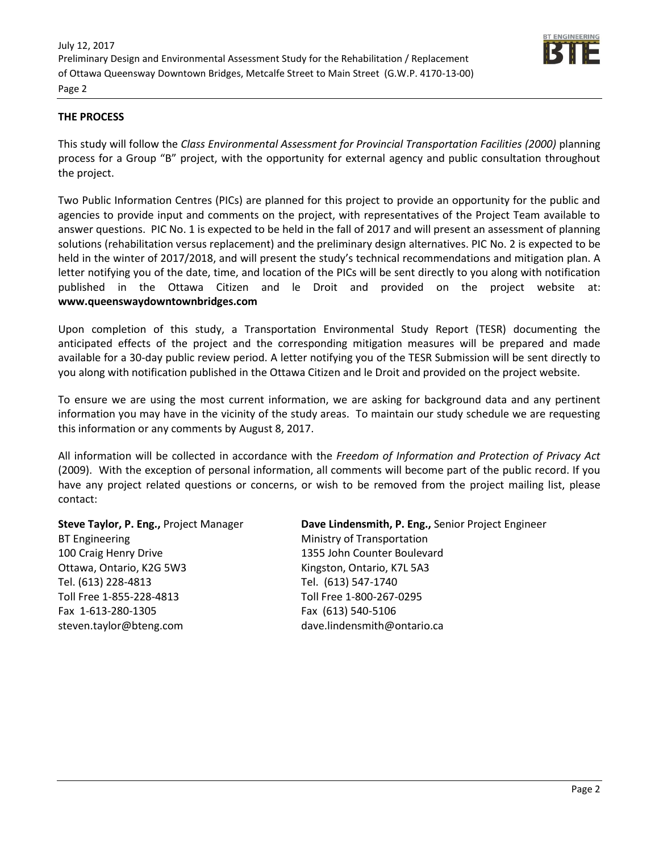

## **THE PROCESS**

This study will follow the *Class Environmental Assessment for Provincial Transportation Facilities (2000)* planning process for a Group "B" project, with the opportunity for external agency and public consultation throughout the project.

Two Public Information Centres (PICs) are planned for this project to provide an opportunity for the public and agencies to provide input and comments on the project, with representatives of the Project Team available to answer questions. PIC No. 1 is expected to be held in the fall of 2017 and will present an assessment of planning solutions (rehabilitation versus replacement) and the preliminary design alternatives. PIC No. 2 is expected to be held in the winter of 2017/2018, and will present the study's technical recommendations and mitigation plan. A letter notifying you of the date, time, and location of the PICs will be sent directly to you along with notification published in the Ottawa Citizen and le Droit and provided on the project website at: **www.queenswaydowntownbridges.com**

Upon completion of this study, a Transportation Environmental Study Report (TESR) documenting the anticipated effects of the project and the corresponding mitigation measures will be prepared and made available for a 30-day public review period. A letter notifying you of the TESR Submission will be sent directly to you along with notification published in the Ottawa Citizen and le Droit and provided on the project website.

To ensure we are using the most current information, we are asking for background data and any pertinent information you may have in the vicinity of the study areas. To maintain our study schedule we are requesting this information or any comments by August 8, 2017.

All information will be collected in accordance with the *Freedom of Information and Protection of Privacy Act*  (2009). With the exception of personal information, all comments will become part of the public record. If you have any project related questions or concerns, or wish to be removed from the project mailing list, please contact:

**Steve Taylor, P. Eng.,** Project Manager BT Engineering 100 Craig Henry Drive Ottawa, Ontario, K2G 5W3 Tel. (613) 228-4813 Toll Free 1-855-228-4813 Fax 1-613-280-1305 steven.taylor@bteng.com

**Dave Lindensmith, P. Eng.,** Senior Project Engineer Ministry of Transportation 1355 John Counter Boulevard Kingston, Ontario, K7L 5A3 Tel. (613) 547-1740 Toll Free 1-800-267-0295 Fax (613) 540-5106 dave.lindensmith@ontario.ca